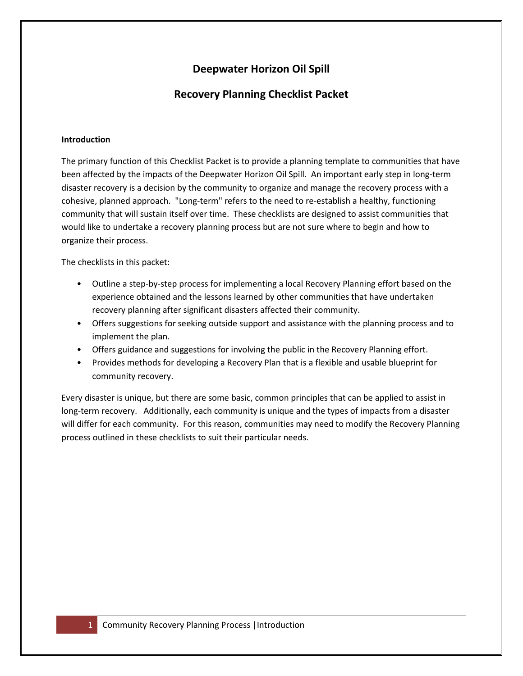## **Deepwater Horizon Oil Spill**

### **Recovery Planning Checklist Packet**

#### **Introduction**

The primary function of this Checklist Packet is to provide a planning template to communities that have been affected by the impacts of the Deepwater Horizon Oil Spill. An important early step in long-term disaster recovery is a decision by the community to organize and manage the recovery process with a cohesive, planned approach. "Long-term" refers to the need to re-establish a healthy, functioning community that will sustain itself over time. These checklists are designed to assist communities that would like to undertake a recovery planning process but are not sure where to begin and how to organize their process.

The checklists in this packet:

- Outline a step-by-step process for implementing a local Recovery Planning effort based on the experience obtained and the lessons learned by other communities that have undertaken recovery planning after significant disasters affected their community.
- Offers suggestions for seeking outside support and assistance with the planning process and to implement the plan.
- Offers guidance and suggestions for involving the public in the Recovery Planning effort.
- Provides methods for developing a Recovery Plan that is a flexible and usable blueprint for community recovery.

Every disaster is unique, but there are some basic, common principles that can be applied to assist in long-term recovery. Additionally, each community is unique and the types of impacts from a disaster will differ for each community. For this reason, communities may need to modify the Recovery Planning process outlined in these checklists to suit their particular needs.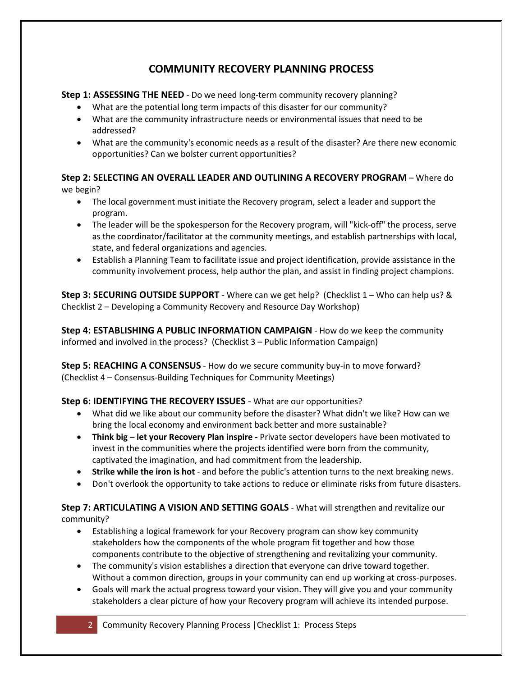## **COMMUNITY RECOVERY PLANNING PROCESS**

**Step 1: ASSESSING THE NEED** - Do we need long-term community recovery planning?

- What are the potential long term impacts of this disaster for our community?
- What are the community infrastructure needs or environmental issues that need to be addressed?
- What are the community's economic needs as a result of the disaster? Are there new economic opportunities? Can we bolster current opportunities?

**Step 2: SELECTING AN OVERALL LEADER AND OUTLINING A RECOVERY PROGRAM** – Where do we begin?

- The local government must initiate the Recovery program, select a leader and support the program.
- The leader will be the spokesperson for the Recovery program, will "kick-off" the process, serve as the coordinator/facilitator at the community meetings, and establish partnerships with local, state, and federal organizations and agencies.
- Establish a Planning Team to facilitate issue and project identification, provide assistance in the community involvement process, help author the plan, and assist in finding project champions.

**Step 3: SECURING OUTSIDE SUPPORT** - Where can we get help? (Checklist 1 – Who can help us? & Checklist 2 – Developing a Community Recovery and Resource Day Workshop)

**Step 4: ESTABLISHING A PUBLIC INFORMATION CAMPAIGN** - How do we keep the community informed and involved in the process? (Checklist 3 – Public Information Campaign)

**Step 5: REACHING A CONSENSUS** - How do we secure community buy-in to move forward? (Checklist 4 – Consensus-Building Techniques for Community Meetings)

### **Step 6: IDENTIFYING THE RECOVERY ISSUES** - What are our opportunities?

- What did we like about our community before the disaster? What didn't we like? How can we bring the local economy and environment back better and more sustainable?
- **Think big – let your Recovery Plan inspire -** Private sector developers have been motivated to invest in the communities where the projects identified were born from the community, captivated the imagination, and had commitment from the leadership.
- **Strike while the iron is hot**  and before the public's attention turns to the next breaking news.
- Don't overlook the opportunity to take actions to reduce or eliminate risks from future disasters.

### **Step 7: ARTICULATING A VISION AND SETTING GOALS** - What will strengthen and revitalize our community?

- Establishing a logical framework for your Recovery program can show key community stakeholders how the components of the whole program fit together and how those components contribute to the objective of strengthening and revitalizing your community.
- The community's vision establishes a direction that everyone can drive toward together. Without a common direction, groups in your community can end up working at cross-purposes.
- Goals will mark the actual progress toward your vision. They will give you and your community stakeholders a clear picture of how your Recovery program will achieve its intended purpose.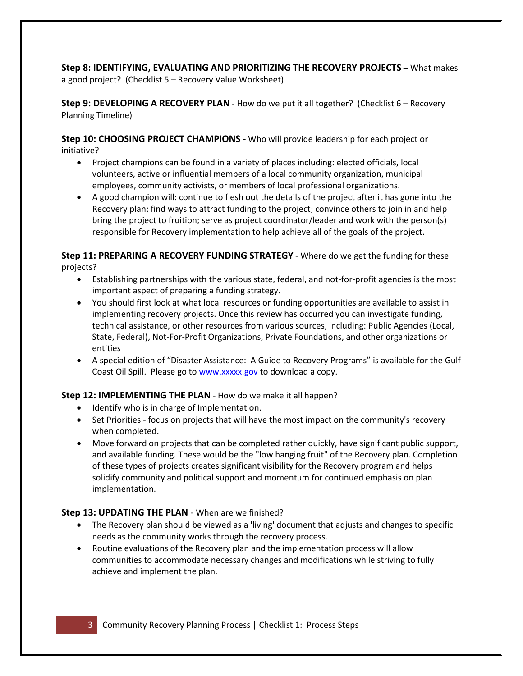#### **Step 8: IDENTIFYING, EVALUATING AND PRIORITIZING THE RECOVERY PROJECTS** – What makes a good project? (Checklist 5 – Recovery Value Worksheet)

**Step 9: DEVELOPING A RECOVERY PLAN** - How do we put it all together? (Checklist 6 – Recovery Planning Timeline)

**Step 10: CHOOSING PROJECT CHAMPIONS** - Who will provide leadership for each project or initiative?

- Project champions can be found in a variety of places including: elected officials, local volunteers, active or influential members of a local community organization, municipal employees, community activists, or members of local professional organizations.
- A good champion will: continue to flesh out the details of the project after it has gone into the Recovery plan; find ways to attract funding to the project; convince others to join in and help bring the project to fruition; serve as project coordinator/leader and work with the person(s) responsible for Recovery implementation to help achieve all of the goals of the project.

**Step 11: PREPARING A RECOVERY FUNDING STRATEGY** - Where do we get the funding for these projects?

- Establishing partnerships with the various state, federal, and not-for-profit agencies is the most important aspect of preparing a funding strategy.
- You should first look at what local resources or funding opportunities are available to assist in implementing recovery projects. Once this review has occurred you can investigate funding, technical assistance, or other resources from various sources, including: Public Agencies (Local, State, Federal), Not-For-Profit Organizations, Private Foundations, and other organizations or entities
- A special edition of "Disaster Assistance: A Guide to Recovery Programs" is available for the Gulf Coast Oil Spill. Please go to [www.xxxxx.gov](http://www.xxxxx.gov/) to download a copy.

#### **Step 12: IMPLEMENTING THE PLAN** - How do we make it all happen?

- Identify who is in charge of Implementation.
- Set Priorities focus on projects that will have the most impact on the community's recovery when completed.
- Move forward on projects that can be completed rather quickly, have significant public support, and available funding. These would be the "low hanging fruit" of the Recovery plan. Completion of these types of projects creates significant visibility for the Recovery program and helps solidify community and political support and momentum for continued emphasis on plan implementation.

#### **Step 13: UPDATING THE PLAN - When are we finished?**

- The Recovery plan should be viewed as a 'living' document that adjusts and changes to specific needs as the community works through the recovery process.
- Routine evaluations of the Recovery plan and the implementation process will allow communities to accommodate necessary changes and modifications while striving to fully achieve and implement the plan.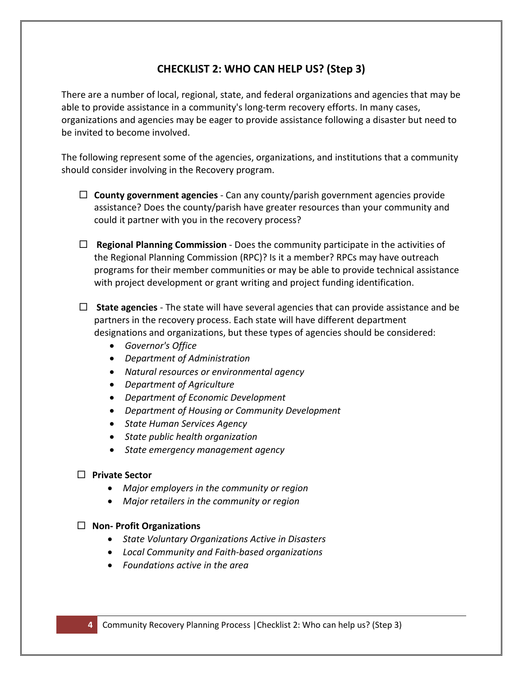### **CHECKLIST 2: WHO CAN HELP US? (Step 3)**

There are a number of local, regional, state, and federal organizations and agencies that may be able to provide assistance in a community's long-term recovery efforts. In many cases, organizations and agencies may be eager to provide assistance following a disaster but need to be invited to become involved.

The following represent some of the agencies, organizations, and institutions that a community should consider involving in the Recovery program.

- **County government agencies**  Can any county/parish government agencies provide assistance? Does the county/parish have greater resources than your community and could it partner with you in the recovery process?
- **Regional Planning Commission**  Does the community participate in the activities of the Regional Planning Commission (RPC)? Is it a member? RPCs may have outreach programs for their member communities or may be able to provide technical assistance with project development or grant writing and project funding identification.
- **State agencies**  The state will have several agencies that can provide assistance and be partners in the recovery process. Each state will have different department designations and organizations, but these types of agencies should be considered:
	- *Governor's Office*
	- *Department of Administration*
	- *Natural resources or environmental agency*
	- *Department of Agriculture*
	- *Department of Economic Development*
	- *Department of Housing or Community Development*
	- *State Human Services Agency*
	- *State public health organization*
	- *State emergency management agency*
- **Private Sector**
	- *Major employers in the community or region*
	- *Major retailers in the community or region*

### **Non- Profit Organizations**

- *State Voluntary Organizations Active in Disasters*
- *Local Community and Faith-based organizations*
- *Foundations active in the area*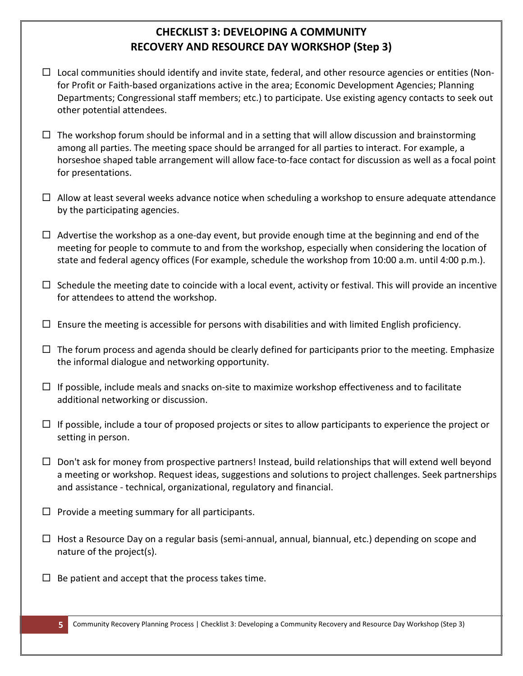## **CHECKLIST 3: DEVELOPING A COMMUNITY RECOVERY AND RESOURCE DAY WORKSHOP (Step 3)**

- $\Box$  Local communities should identify and invite state, federal, and other resource agencies or entities (Nonfor Profit or Faith-based organizations active in the area; Economic Development Agencies; Planning Departments; Congressional staff members; etc.) to participate. Use existing agency contacts to seek out other potential attendees.
- $\Box$  The workshop forum should be informal and in a setting that will allow discussion and brainstorming among all parties. The meeting space should be arranged for all parties to interact. For example, a horseshoe shaped table arrangement will allow face-to-face contact for discussion as well as a focal point for presentations.
- $\Box$  Allow at least several weeks advance notice when scheduling a workshop to ensure adequate attendance by the participating agencies.
- $\Box$  Advertise the workshop as a one-day event, but provide enough time at the beginning and end of the meeting for people to commute to and from the workshop, especially when considering the location of state and federal agency offices (For example, schedule the workshop from 10:00 a.m. until 4:00 p.m.).
- $\Box$  Schedule the meeting date to coincide with a local event, activity or festival. This will provide an incentive for attendees to attend the workshop.
- $\Box$  Ensure the meeting is accessible for persons with disabilities and with limited English proficiency.
- $\Box$  The forum process and agenda should be clearly defined for participants prior to the meeting. Emphasize the informal dialogue and networking opportunity.
- $\Box$  If possible, include meals and snacks on-site to maximize workshop effectiveness and to facilitate additional networking or discussion.
- $\Box$  If possible, include a tour of proposed projects or sites to allow participants to experience the project or setting in person.
- $\Box$  Don't ask for money from prospective partners! Instead, build relationships that will extend well beyond a meeting or workshop. Request ideas, suggestions and solutions to project challenges. Seek partnerships and assistance - technical, organizational, regulatory and financial.
- $\Box$  Provide a meeting summary for all participants.
- $\Box$  Host a Resource Day on a regular basis (semi-annual, annual, biannual, etc.) depending on scope and nature of the project(s).
- $\Box$  Be patient and accept that the process takes time.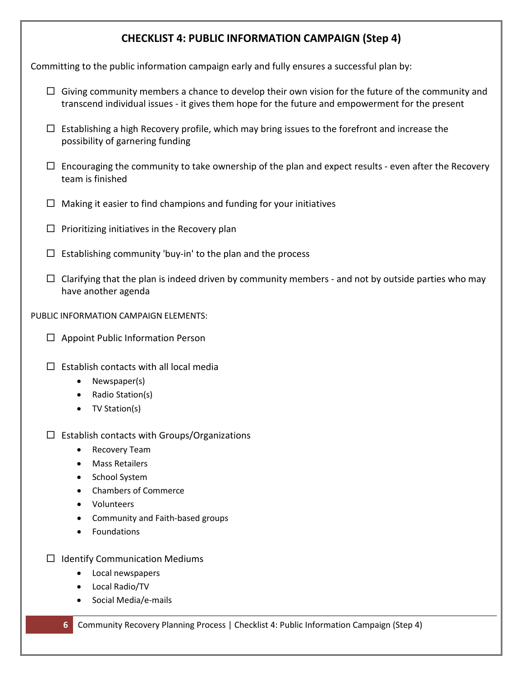### **CHECKLIST 4: PUBLIC INFORMATION CAMPAIGN (Step 4)**

Committing to the public information campaign early and fully ensures a successful plan by:

- $\Box$  Giving community members a chance to develop their own vision for the future of the community and transcend individual issues - it gives them hope for the future and empowerment for the present
- $\Box$  Establishing a high Recovery profile, which may bring issues to the forefront and increase the possibility of garnering funding
- $\Box$  Encouraging the community to take ownership of the plan and expect results even after the Recovery team is finished
- $\Box$  Making it easier to find champions and funding for your initiatives
- $\square$  Prioritizing initiatives in the Recovery plan
- $\Box$  Establishing community 'buy-in' to the plan and the process
- $\Box$  Clarifying that the plan is indeed driven by community members and not by outside parties who may have another agenda

PUBLIC INFORMATION CAMPAIGN ELEMENTS:

- $\Box$  Appoint Public Information Person
- $\square$  Establish contacts with all local media
	- Newspaper(s)
	- Radio Station(s)
	- TV Station(s)

### $\Box$  Establish contacts with Groups/Organizations

- Recovery Team
- Mass Retailers
- School System
- Chambers of Commerce
- Volunteers
- Community and Faith-based groups
- Foundations
- $\Box$  Identify Communication Mediums
	- Local newspapers
	- Local Radio/TV
	- Social Media/e-mails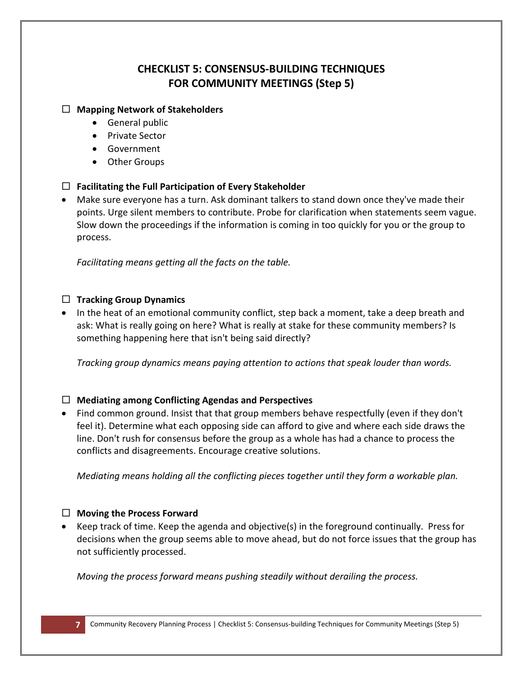## **CHECKLIST 5: CONSENSUS-BUILDING TECHNIQUES FOR COMMUNITY MEETINGS (Step 5)**

#### **Mapping Network of Stakeholders**

- General public
- Private Sector
- Government
- Other Groups

### **Facilitating the Full Participation of Every Stakeholder**

• Make sure everyone has a turn. Ask dominant talkers to stand down once they've made their points. Urge silent members to contribute. Probe for clarification when statements seem vague. Slow down the proceedings if the information is coming in too quickly for you or the group to process.

*Facilitating means getting all the facts on the table.*

### **Tracking Group Dynamics**

• In the heat of an emotional community conflict, step back a moment, take a deep breath and ask: What is really going on here? What is really at stake for these community members? Is something happening here that isn't being said directly?

*Tracking group dynamics means paying attention to actions that speak louder than words.*

### **Mediating among Conflicting Agendas and Perspectives**

• Find common ground. Insist that that group members behave respectfully (even if they don't feel it). Determine what each opposing side can afford to give and where each side draws the line. Don't rush for consensus before the group as a whole has had a chance to process the conflicts and disagreements. Encourage creative solutions.

*Mediating means holding all the conflicting pieces together until they form a workable plan.*

### **Moving the Process Forward**

• Keep track of time. Keep the agenda and objective(s) in the foreground continually. Press for decisions when the group seems able to move ahead, but do not force issues that the group has not sufficiently processed.

*Moving the process forward means pushing steadily without derailing the process.*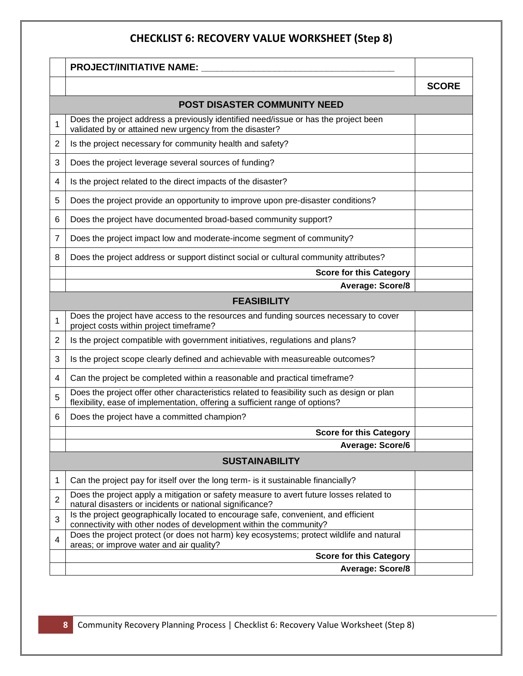# **CHECKLIST 6: RECOVERY VALUE WORKSHEET (Step 8)**

|                              | <b>PROJECT/INITIATIVE NAME:</b>                                                                                                                                            |              |  |  |
|------------------------------|----------------------------------------------------------------------------------------------------------------------------------------------------------------------------|--------------|--|--|
|                              |                                                                                                                                                                            | <b>SCORE</b> |  |  |
| POST DISASTER COMMUNITY NEED |                                                                                                                                                                            |              |  |  |
| 1                            | Does the project address a previously identified need/issue or has the project been<br>validated by or attained new urgency from the disaster?                             |              |  |  |
| 2                            | Is the project necessary for community health and safety?                                                                                                                  |              |  |  |
| 3                            | Does the project leverage several sources of funding?                                                                                                                      |              |  |  |
| 4                            | Is the project related to the direct impacts of the disaster?                                                                                                              |              |  |  |
| 5                            | Does the project provide an opportunity to improve upon pre-disaster conditions?                                                                                           |              |  |  |
| 6                            | Does the project have documented broad-based community support?                                                                                                            |              |  |  |
| 7                            | Does the project impact low and moderate-income segment of community?                                                                                                      |              |  |  |
| 8                            | Does the project address or support distinct social or cultural community attributes?                                                                                      |              |  |  |
|                              | <b>Score for this Category</b>                                                                                                                                             |              |  |  |
|                              | <b>Average: Score/8</b>                                                                                                                                                    |              |  |  |
|                              | <b>FEASIBILITY</b>                                                                                                                                                         |              |  |  |
| 1                            | Does the project have access to the resources and funding sources necessary to cover<br>project costs within project timeframe?                                            |              |  |  |
| 2                            | Is the project compatible with government initiatives, regulations and plans?                                                                                              |              |  |  |
| 3                            | Is the project scope clearly defined and achievable with measureable outcomes?                                                                                             |              |  |  |
| 4                            | Can the project be completed within a reasonable and practical timeframe?                                                                                                  |              |  |  |
| 5                            | Does the project offer other characteristics related to feasibility such as design or plan<br>flexibility, ease of implementation, offering a sufficient range of options? |              |  |  |
| 6                            | Does the project have a committed champion?                                                                                                                                |              |  |  |
|                              | <b>Score for this Category</b>                                                                                                                                             |              |  |  |
|                              | <b>Average: Score/6</b>                                                                                                                                                    |              |  |  |
|                              | <b>SUSTAINABILITY</b>                                                                                                                                                      |              |  |  |
| 1                            | Can the project pay for itself over the long term- is it sustainable financially?                                                                                          |              |  |  |
| $\overline{2}$               | Does the project apply a mitigation or safety measure to avert future losses related to<br>natural disasters or incidents or national significance?                        |              |  |  |
| 3                            | Is the project geographically located to encourage safe, convenient, and efficient<br>connectivity with other nodes of development within the community?                   |              |  |  |
| 4                            | Does the project protect (or does not harm) key ecosystems; protect wildlife and natural<br>areas; or improve water and air quality?                                       |              |  |  |
|                              | <b>Score for this Category</b>                                                                                                                                             |              |  |  |
|                              | <b>Average: Score/8</b>                                                                                                                                                    |              |  |  |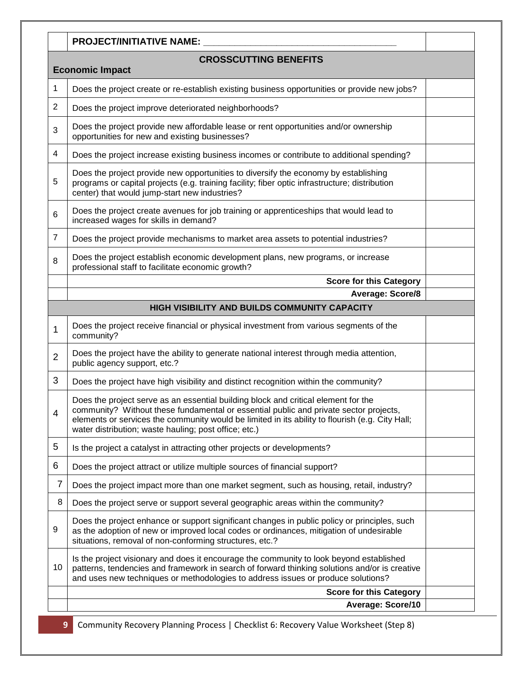|                                                        | <b>PROJECT/INITIATIVE NAME:</b>                                                                                                                                                                                                                                                                                                         |  |  |  |
|--------------------------------------------------------|-----------------------------------------------------------------------------------------------------------------------------------------------------------------------------------------------------------------------------------------------------------------------------------------------------------------------------------------|--|--|--|
| <b>CROSSCUTTING BENEFITS</b><br><b>Economic Impact</b> |                                                                                                                                                                                                                                                                                                                                         |  |  |  |
| $\mathbf 1$                                            | Does the project create or re-establish existing business opportunities or provide new jobs?                                                                                                                                                                                                                                            |  |  |  |
| 2                                                      | Does the project improve deteriorated neighborhoods?                                                                                                                                                                                                                                                                                    |  |  |  |
| 3                                                      | Does the project provide new affordable lease or rent opportunities and/or ownership<br>opportunities for new and existing businesses?                                                                                                                                                                                                  |  |  |  |
| 4                                                      | Does the project increase existing business incomes or contribute to additional spending?                                                                                                                                                                                                                                               |  |  |  |
| 5                                                      | Does the project provide new opportunities to diversify the economy by establishing<br>programs or capital projects (e.g. training facility; fiber optic infrastructure; distribution<br>center) that would jump-start new industries?                                                                                                  |  |  |  |
| 6                                                      | Does the project create avenues for job training or apprenticeships that would lead to<br>increased wages for skills in demand?                                                                                                                                                                                                         |  |  |  |
| $\overline{7}$                                         | Does the project provide mechanisms to market area assets to potential industries?                                                                                                                                                                                                                                                      |  |  |  |
| 8                                                      | Does the project establish economic development plans, new programs, or increase<br>professional staff to facilitate economic growth?                                                                                                                                                                                                   |  |  |  |
|                                                        | <b>Score for this Category</b>                                                                                                                                                                                                                                                                                                          |  |  |  |
|                                                        | <b>Average: Score/8</b>                                                                                                                                                                                                                                                                                                                 |  |  |  |
|                                                        | HIGH VISIBILITY AND BUILDS COMMUNITY CAPACITY                                                                                                                                                                                                                                                                                           |  |  |  |
| 1                                                      | Does the project receive financial or physical investment from various segments of the<br>community?                                                                                                                                                                                                                                    |  |  |  |
| $\overline{2}$                                         | Does the project have the ability to generate national interest through media attention,<br>public agency support, etc.?                                                                                                                                                                                                                |  |  |  |
| 3                                                      | Does the project have high visibility and distinct recognition within the community?                                                                                                                                                                                                                                                    |  |  |  |
| Δ                                                      | Does the project serve as an essential building block and critical element for the<br>community? Without these fundamental or essential public and private sector projects,<br>elements or services the community would be limited in its ability to flourish (e.g. City Hall;<br>water distribution; waste hauling; post office; etc.) |  |  |  |
| 5                                                      | Is the project a catalyst in attracting other projects or developments?                                                                                                                                                                                                                                                                 |  |  |  |
| 6                                                      | Does the project attract or utilize multiple sources of financial support?                                                                                                                                                                                                                                                              |  |  |  |
| 7                                                      | Does the project impact more than one market segment, such as housing, retail, industry?                                                                                                                                                                                                                                                |  |  |  |
| 8                                                      | Does the project serve or support several geographic areas within the community?                                                                                                                                                                                                                                                        |  |  |  |
| 9                                                      | Does the project enhance or support significant changes in public policy or principles, such<br>as the adoption of new or improved local codes or ordinances, mitigation of undesirable<br>situations, removal of non-conforming structures, etc.?                                                                                      |  |  |  |
| 10                                                     | Is the project visionary and does it encourage the community to look beyond established<br>patterns, tendencies and framework in search of forward thinking solutions and/or is creative<br>and uses new techniques or methodologies to address issues or produce solutions?                                                            |  |  |  |
|                                                        | <b>Score for this Category</b>                                                                                                                                                                                                                                                                                                          |  |  |  |
|                                                        | Average: Score/10                                                                                                                                                                                                                                                                                                                       |  |  |  |

**9** Community Recovery Planning Process | Checklist 6: Recovery Value Worksheet (Step 8)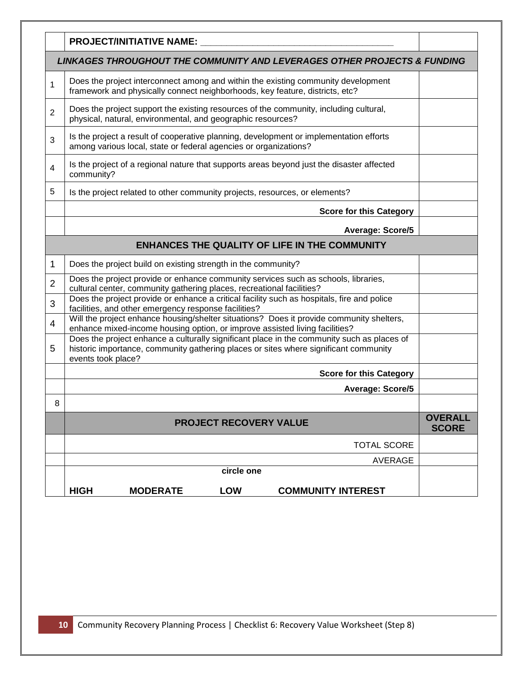|                                                                          | <b>PROJECT/INITIATIVE NAME:</b>                                                                                                                                                                          |                                |  |  |
|--------------------------------------------------------------------------|----------------------------------------------------------------------------------------------------------------------------------------------------------------------------------------------------------|--------------------------------|--|--|
| LINKAGES THROUGHOUT THE COMMUNITY AND LEVERAGES OTHER PROJECTS & FUNDING |                                                                                                                                                                                                          |                                |  |  |
| 1                                                                        | Does the project interconnect among and within the existing community development<br>framework and physically connect neighborhoods, key feature, districts, etc?                                        |                                |  |  |
| $\overline{2}$                                                           | Does the project support the existing resources of the community, including cultural,<br>physical, natural, environmental, and geographic resources?                                                     |                                |  |  |
| 3                                                                        | Is the project a result of cooperative planning, development or implementation efforts<br>among various local, state or federal agencies or organizations?                                               |                                |  |  |
| 4                                                                        | Is the project of a regional nature that supports areas beyond just the disaster affected<br>community?                                                                                                  |                                |  |  |
| 5                                                                        | Is the project related to other community projects, resources, or elements?                                                                                                                              |                                |  |  |
|                                                                          | <b>Score for this Category</b>                                                                                                                                                                           |                                |  |  |
|                                                                          | Average: Score/5                                                                                                                                                                                         |                                |  |  |
|                                                                          | <b>ENHANCES THE QUALITY OF LIFE IN THE COMMUNITY</b>                                                                                                                                                     |                                |  |  |
| 1                                                                        | Does the project build on existing strength in the community?                                                                                                                                            |                                |  |  |
| $\overline{2}$                                                           | Does the project provide or enhance community services such as schools, libraries,<br>cultural center, community gathering places, recreational facilities?                                              |                                |  |  |
| 3                                                                        | Does the project provide or enhance a critical facility such as hospitals, fire and police<br>facilities, and other emergency response facilities?                                                       |                                |  |  |
| 4                                                                        | Will the project enhance housing/shelter situations? Does it provide community shelters,<br>enhance mixed-income housing option, or improve assisted living facilities?                                  |                                |  |  |
| 5                                                                        | Does the project enhance a culturally significant place in the community such as places of<br>historic importance, community gathering places or sites where significant community<br>events took place? |                                |  |  |
|                                                                          | <b>Score for this Category</b>                                                                                                                                                                           |                                |  |  |
|                                                                          | <b>Average: Score/5</b>                                                                                                                                                                                  |                                |  |  |
| 8                                                                        |                                                                                                                                                                                                          |                                |  |  |
|                                                                          | <b>PROJECT RECOVERY VALUE</b>                                                                                                                                                                            | <b>OVERALL</b><br><b>SCORE</b> |  |  |
|                                                                          | <b>TOTAL SCORE</b>                                                                                                                                                                                       |                                |  |  |
|                                                                          | <b>AVERAGE</b>                                                                                                                                                                                           |                                |  |  |
|                                                                          | circle one                                                                                                                                                                                               |                                |  |  |
|                                                                          | <b>HIGH</b><br><b>LOW</b><br><b>MODERATE</b><br><b>COMMUNITY INTEREST</b>                                                                                                                                |                                |  |  |